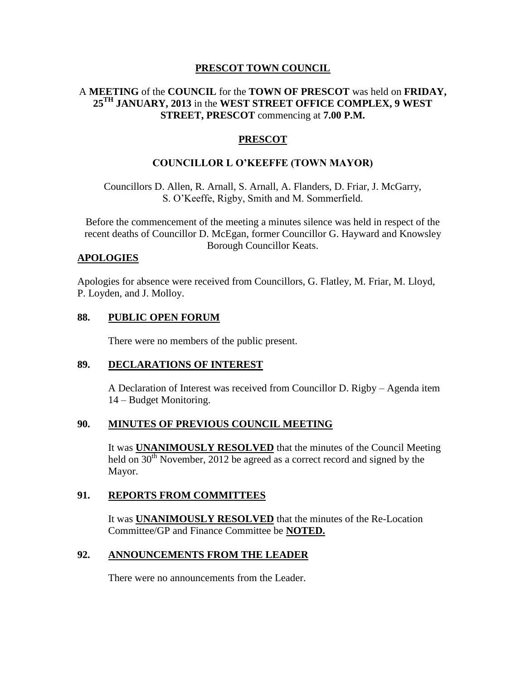#### **PRESCOT TOWN COUNCIL**

# A **MEETING** of the **COUNCIL** for the **TOWN OF PRESCOT** was held on **FRIDAY, 25TH JANUARY, 2013** in the **WEST STREET OFFICE COMPLEX, 9 WEST STREET, PRESCOT** commencing at **7.00 P.M.**

# **PRESCOT**

#### **COUNCILLOR L O'KEEFFE (TOWN MAYOR)**

Councillors D. Allen, R. Arnall, S. Arnall, A. Flanders, D. Friar, J. McGarry, S. O'Keeffe, Rigby, Smith and M. Sommerfield.

Before the commencement of the meeting a minutes silence was held in respect of the recent deaths of Councillor D. McEgan, former Councillor G. Hayward and Knowsley Borough Councillor Keats.

#### **APOLOGIES**

Apologies for absence were received from Councillors, G. Flatley, M. Friar, M. Lloyd, P. Loyden, and J. Molloy.

#### **88. PUBLIC OPEN FORUM**

There were no members of the public present.

#### **89. DECLARATIONS OF INTEREST**

A Declaration of Interest was received from Councillor D. Rigby – Agenda item 14 – Budget Monitoring.

#### **90. MINUTES OF PREVIOUS COUNCIL MEETING**

It was **UNANIMOUSLY RESOLVED** that the minutes of the Council Meeting held on 30<sup>th</sup> November, 2012 be agreed as a correct record and signed by the Mayor.

#### **91. REPORTS FROM COMMITTEES**

It was **UNANIMOUSLY RESOLVED** that the minutes of the Re-Location Committee/GP and Finance Committee be **NOTED.**

#### **92. ANNOUNCEMENTS FROM THE LEADER**

There were no announcements from the Leader.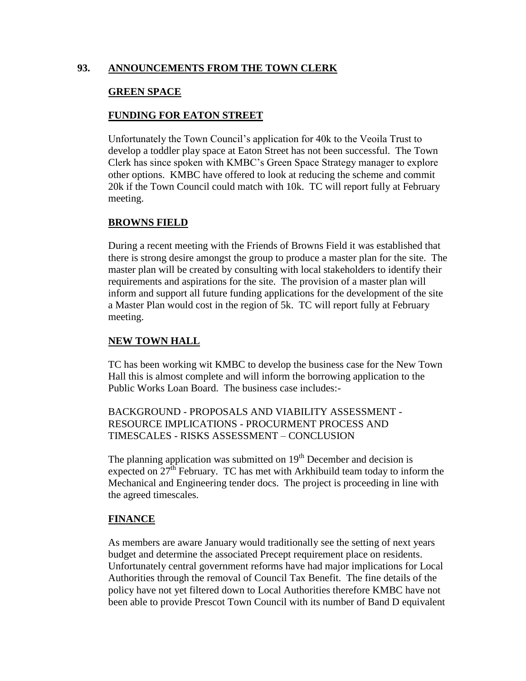#### **93. ANNOUNCEMENTS FROM THE TOWN CLERK**

#### **GREEN SPACE**

#### **FUNDING FOR EATON STREET**

Unfortunately the Town Council's application for 40k to the Veoila Trust to develop a toddler play space at Eaton Street has not been successful. The Town Clerk has since spoken with KMBC's Green Space Strategy manager to explore other options. KMBC have offered to look at reducing the scheme and commit 20k if the Town Council could match with 10k. TC will report fully at February meeting.

#### **BROWNS FIELD**

During a recent meeting with the Friends of Browns Field it was established that there is strong desire amongst the group to produce a master plan for the site. The master plan will be created by consulting with local stakeholders to identify their requirements and aspirations for the site. The provision of a master plan will inform and support all future funding applications for the development of the site a Master Plan would cost in the region of 5k. TC will report fully at February meeting.

# **NEW TOWN HALL**

TC has been working wit KMBC to develop the business case for the New Town Hall this is almost complete and will inform the borrowing application to the Public Works Loan Board. The business case includes:-

BACKGROUND - PROPOSALS AND VIABILITY ASSESSMENT - RESOURCE IMPLICATIONS - PROCURMENT PROCESS AND TIMESCALES - RISKS ASSESSMENT – CONCLUSION

The planning application was submitted on  $19<sup>th</sup>$  December and decision is expected on  $27<sup>th</sup>$  February. TC has met with Arkhibuild team today to inform the Mechanical and Engineering tender docs. The project is proceeding in line with the agreed timescales.

#### **FINANCE**

As members are aware January would traditionally see the setting of next years budget and determine the associated Precept requirement place on residents. Unfortunately central government reforms have had major implications for Local Authorities through the removal of Council Tax Benefit. The fine details of the policy have not yet filtered down to Local Authorities therefore KMBC have not been able to provide Prescot Town Council with its number of Band D equivalent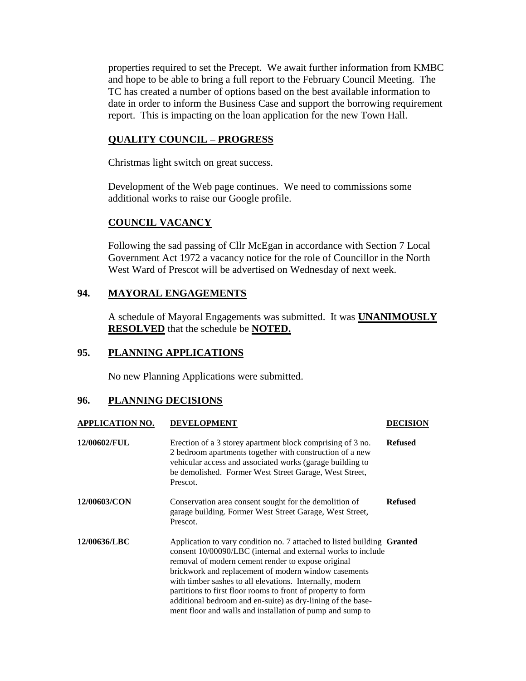properties required to set the Precept. We await further information from KMBC and hope to be able to bring a full report to the February Council Meeting. The TC has created a number of options based on the best available information to date in order to inform the Business Case and support the borrowing requirement report. This is impacting on the loan application for the new Town Hall.

#### **QUALITY COUNCIL – PROGRESS**

Christmas light switch on great success.

Development of the Web page continues. We need to commissions some additional works to raise our Google profile.

# **COUNCIL VACANCY**

Following the sad passing of Cllr McEgan in accordance with Section 7 Local Government Act 1972 a vacancy notice for the role of Councillor in the North West Ward of Prescot will be advertised on Wednesday of next week.

# **94. MAYORAL ENGAGEMENTS**

A schedule of Mayoral Engagements was submitted. It was **UNANIMOUSLY RESOLVED** that the schedule be **NOTED.**

#### **95. PLANNING APPLICATIONS**

No new Planning Applications were submitted.

# **96. PLANNING DECISIONS**

| <b>APPLICATION NO.</b> | <b>DEVELOPMENT</b>                                                                                                                                                                                                                                                                                                                                                                                                                                                                                                   | DECISION       |
|------------------------|----------------------------------------------------------------------------------------------------------------------------------------------------------------------------------------------------------------------------------------------------------------------------------------------------------------------------------------------------------------------------------------------------------------------------------------------------------------------------------------------------------------------|----------------|
| 12/00602/FUL           | Erection of a 3 storey apartment block comprising of 3 no.<br>2 bedroom apartments together with construction of a new<br>vehicular access and associated works (garage building to<br>be demolished. Former West Street Garage, West Street,<br>Prescot.                                                                                                                                                                                                                                                            | <b>Refused</b> |
| 12/00603/CON           | Conservation area consent sought for the demolition of<br>garage building. Former West Street Garage, West Street,<br>Prescot.                                                                                                                                                                                                                                                                                                                                                                                       | <b>Refused</b> |
| 12/00636/LBC           | Application to vary condition no. 7 attached to listed building <b>Granted</b><br>consent 10/00090/LBC (internal and external works to include<br>removal of modern cement render to expose original<br>brickwork and replacement of modern window casements<br>with timber sashes to all elevations. Internally, modern<br>partitions to first floor rooms to front of property to form<br>additional bedroom and en-suite) as dry-lining of the base-<br>ment floor and walls and installation of pump and sump to |                |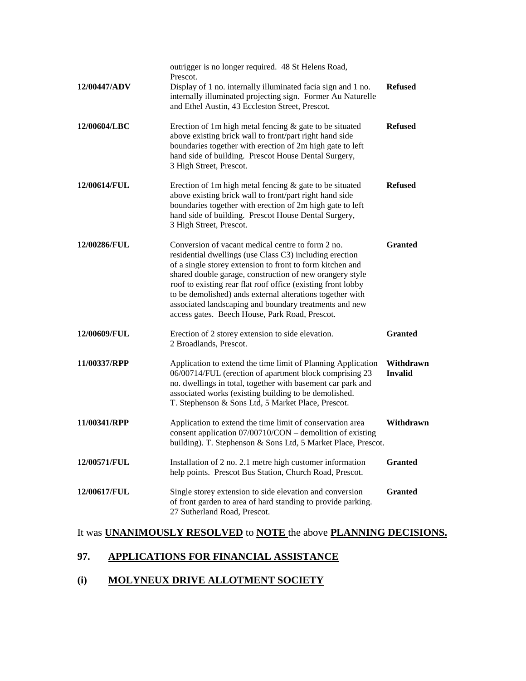| 12/00447/ADV | outrigger is no longer required. 48 St Helens Road,<br>Prescot.<br>Display of 1 no. internally illuminated facia sign and 1 no.<br>internally illuminated projecting sign. Former Au Naturelle<br>and Ethel Austin, 43 Eccleston Street, Prescot.                                                                                                                                                                                                                              | <b>Refused</b>              |
|--------------|--------------------------------------------------------------------------------------------------------------------------------------------------------------------------------------------------------------------------------------------------------------------------------------------------------------------------------------------------------------------------------------------------------------------------------------------------------------------------------|-----------------------------|
| 12/00604/LBC | Erection of 1m high metal fencing $\&$ gate to be situated<br>above existing brick wall to front/part right hand side<br>boundaries together with erection of 2m high gate to left<br>hand side of building. Prescot House Dental Surgery,<br>3 High Street, Prescot.                                                                                                                                                                                                          | <b>Refused</b>              |
| 12/00614/FUL | Erection of 1m high metal fencing $\&$ gate to be situated<br>above existing brick wall to front/part right hand side<br>boundaries together with erection of 2m high gate to left<br>hand side of building. Prescot House Dental Surgery,<br>3 High Street, Prescot.                                                                                                                                                                                                          | <b>Refused</b>              |
| 12/00286/FUL | Conversion of vacant medical centre to form 2 no.<br>residential dwellings (use Class C3) including erection<br>of a single storey extension to front to form kitchen and<br>shared double garage, construction of new orangery style<br>roof to existing rear flat roof office (existing front lobby<br>to be demolished) ands external alterations together with<br>associated landscaping and boundary treatments and new<br>access gates. Beech House, Park Road, Prescot. | <b>Granted</b>              |
| 12/00609/FUL | Erection of 2 storey extension to side elevation.<br>2 Broadlands, Prescot.                                                                                                                                                                                                                                                                                                                                                                                                    | <b>Granted</b>              |
| 11/00337/RPP | Application to extend the time limit of Planning Application<br>06/00714/FUL (erection of apartment block comprising 23<br>no. dwellings in total, together with basement car park and<br>associated works (existing building to be demolished.<br>T. Stephenson & Sons Ltd, 5 Market Place, Prescot.                                                                                                                                                                          | Withdrawn<br><b>Invalid</b> |
| 11/00341/RPP | Application to extend the time limit of conservation area<br>consent application 07/00710/CON - demolition of existing<br>building). T. Stephenson & Sons Ltd, 5 Market Place, Prescot.                                                                                                                                                                                                                                                                                        | Withdrawn                   |
| 12/00571/FUL | Installation of 2 no. 2.1 metre high customer information<br>help points. Prescot Bus Station, Church Road, Prescot.                                                                                                                                                                                                                                                                                                                                                           | <b>Granted</b>              |
| 12/00617/FUL | Single storey extension to side elevation and conversion<br>of front garden to area of hard standing to provide parking.<br>27 Sutherland Road, Prescot.                                                                                                                                                                                                                                                                                                                       | <b>Granted</b>              |

# It was **UNANIMOUSLY RESOLVED** to **NOTE** the above **PLANNING DECISIONS.**

# **97. APPLICATIONS FOR FINANCIAL ASSISTANCE**

# **(i) MOLYNEUX DRIVE ALLOTMENT SOCIETY**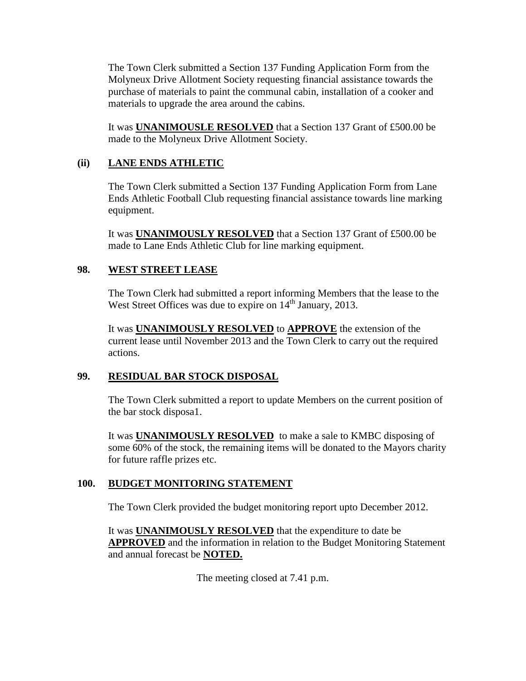The Town Clerk submitted a Section 137 Funding Application Form from the Molyneux Drive Allotment Society requesting financial assistance towards the purchase of materials to paint the communal cabin, installation of a cooker and materials to upgrade the area around the cabins.

It was **UNANIMOUSLE RESOLVED** that a Section 137 Grant of £500.00 be made to the Molyneux Drive Allotment Society.

# **(ii) LANE ENDS ATHLETIC**

The Town Clerk submitted a Section 137 Funding Application Form from Lane Ends Athletic Football Club requesting financial assistance towards line marking equipment.

It was **UNANIMOUSLY RESOLVED** that a Section 137 Grant of £500.00 be made to Lane Ends Athletic Club for line marking equipment.

# **98. WEST STREET LEASE**

The Town Clerk had submitted a report informing Members that the lease to the West Street Offices was due to expire on 14<sup>th</sup> January, 2013.

It was **UNANIMOUSLY RESOLVED** to **APPROVE** the extension of the current lease until November 2013 and the Town Clerk to carry out the required actions.

# **99. RESIDUAL BAR STOCK DISPOSAL**

The Town Clerk submitted a report to update Members on the current position of the bar stock disposa1.

It was **UNANIMOUSLY RESOLVED** to make a sale to KMBC disposing of some 60% of the stock, the remaining items will be donated to the Mayors charity for future raffle prizes etc.

# **100. BUDGET MONITORING STATEMENT**

The Town Clerk provided the budget monitoring report upto December 2012.

It was **UNANIMOUSLY RESOLVED** that the expenditure to date be **APPROVED** and the information in relation to the Budget Monitoring Statement and annual forecast be **NOTED.**

The meeting closed at 7.41 p.m.